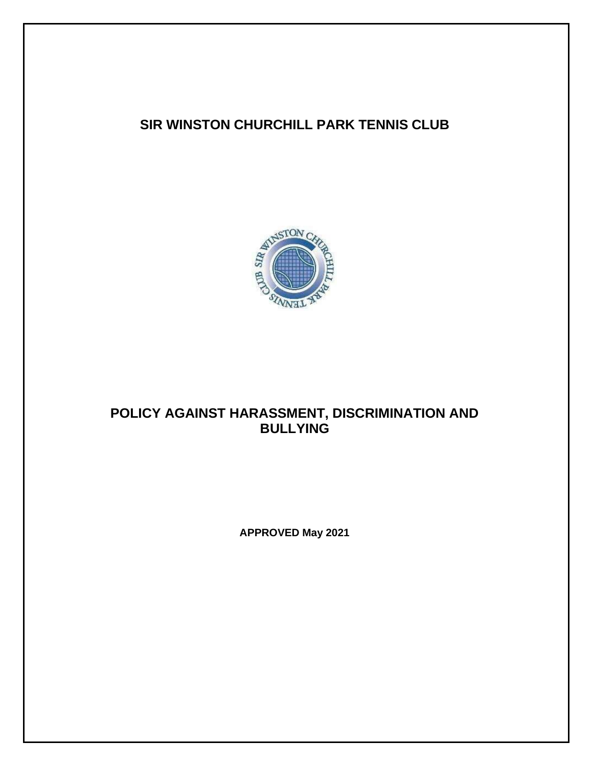## **SIR WINSTON CHURCHILL PARK TENNIS CLUB**



# **POLICY AGAINST HARASSMENT, DISCRIMINATION AND BULLYING**

**APPROVED May 2021**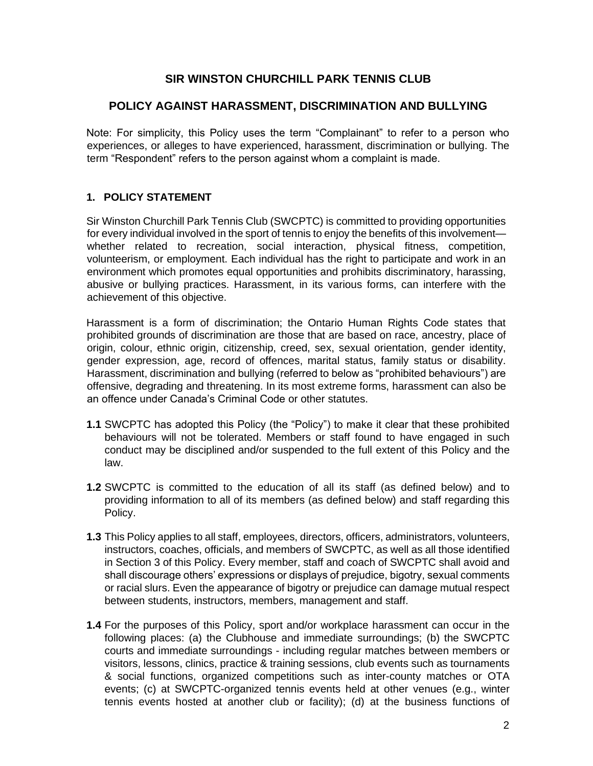## **SIR WINSTON CHURCHILL PARK TENNIS CLUB**

## **POLICY AGAINST HARASSMENT, DISCRIMINATION AND BULLYING**

Note: For simplicity, this Policy uses the term "Complainant" to refer to a person who experiences, or alleges to have experienced, harassment, discrimination or bullying. The term "Respondent" refers to the person against whom a complaint is made.

## **1. POLICY STATEMENT**

Sir Winston Churchill Park Tennis Club (SWCPTC) is committed to providing opportunities for every individual involved in the sport of tennis to enjoy the benefits of this involvement whether related to recreation, social interaction, physical fitness, competition, volunteerism, or employment. Each individual has the right to participate and work in an environment which promotes equal opportunities and prohibits discriminatory, harassing, abusive or bullying practices. Harassment, in its various forms, can interfere with the achievement of this objective.

Harassment is a form of discrimination; the Ontario Human Rights Code states that prohibited grounds of discrimination are those that are based on race, ancestry, place of origin, colour, ethnic origin, citizenship, creed, sex, sexual orientation, gender identity, gender expression, age, record of offences, marital status, family status or disability. Harassment, discrimination and bullying (referred to below as "prohibited behaviours") are offensive, degrading and threatening. In its most extreme forms, harassment can also be an offence under Canada's Criminal Code or other statutes.

- **1.1** SWCPTC has adopted this Policy (the "Policy") to make it clear that these prohibited behaviours will not be tolerated. Members or staff found to have engaged in such conduct may be disciplined and/or suspended to the full extent of this Policy and the law.
- **1.2** SWCPTC is committed to the education of all its staff (as defined below) and to providing information to all of its members (as defined below) and staff regarding this Policy.
- **1.3** This Policy applies to all staff, employees, directors, officers, administrators, volunteers, instructors, coaches, officials, and members of SWCPTC, as well as all those identified in Section 3 of this Policy. Every member, staff and coach of SWCPTC shall avoid and shall discourage others' expressions or displays of prejudice, bigotry, sexual comments or racial slurs. Even the appearance of bigotry or prejudice can damage mutual respect between students, instructors, members, management and staff.
- **1.4** For the purposes of this Policy, sport and/or workplace harassment can occur in the following places: (a) the Clubhouse and immediate surroundings; (b) the SWCPTC courts and immediate surroundings - including regular matches between members or visitors, lessons, clinics, practice & training sessions, club events such as tournaments & social functions, organized competitions such as inter-county matches or OTA events; (c) at SWCPTC-organized tennis events held at other venues (e.g., winter tennis events hosted at another club or facility); (d) at the business functions of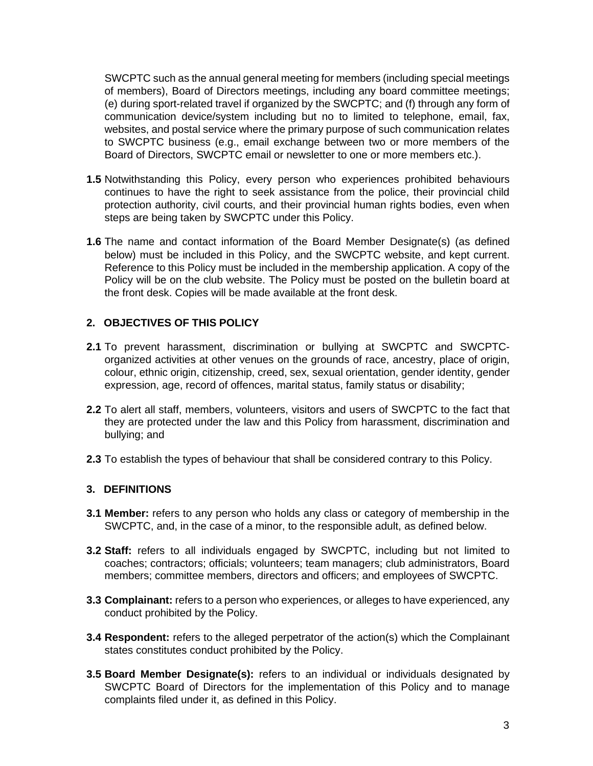SWCPTC such as the annual general meeting for members (including special meetings of members), Board of Directors meetings, including any board committee meetings; (e) during sport-related travel if organized by the SWCPTC; and (f) through any form of communication device/system including but no to limited to telephone, email, fax, websites, and postal service where the primary purpose of such communication relates to SWCPTC business (e.g., email exchange between two or more members of the Board of Directors, SWCPTC email or newsletter to one or more members etc.).

- **1.5** Notwithstanding this Policy, every person who experiences prohibited behaviours continues to have the right to seek assistance from the police, their provincial child protection authority, civil courts, and their provincial human rights bodies, even when steps are being taken by SWCPTC under this Policy.
- **1.6** The name and contact information of the Board Member Designate(s) (as defined below) must be included in this Policy, and the SWCPTC website, and kept current. Reference to this Policy must be included in the membership application. A copy of the Policy will be on the club website. The Policy must be posted on the bulletin board at the front desk. Copies will be made available at the front desk.

#### **2. OBJECTIVES OF THIS POLICY**

- **2.1** To prevent harassment, discrimination or bullying at SWCPTC and SWCPTCorganized activities at other venues on the grounds of race, ancestry, place of origin, colour, ethnic origin, citizenship, creed, sex, sexual orientation, gender identity, gender expression, age, record of offences, marital status, family status or disability;
- **2.2** To alert all staff, members, volunteers, visitors and users of SWCPTC to the fact that they are protected under the law and this Policy from harassment, discrimination and bullying; and
- **2.3** To establish the types of behaviour that shall be considered contrary to this Policy.

#### **3. DEFINITIONS**

- **3.1 Member:** refers to any person who holds any class or category of membership in the SWCPTC, and, in the case of a minor, to the responsible adult, as defined below.
- **3.2 Staff:** refers to all individuals engaged by SWCPTC, including but not limited to coaches; contractors; officials; volunteers; team managers; club administrators, Board members; committee members, directors and officers; and employees of SWCPTC.
- **3.3 Complainant:** refers to a person who experiences, or alleges to have experienced, any conduct prohibited by the Policy.
- **3.4 Respondent:** refers to the alleged perpetrator of the action(s) which the Complainant states constitutes conduct prohibited by the Policy.
- **3.5 Board Member Designate(s):** refers to an individual or individuals designated by SWCPTC Board of Directors for the implementation of this Policy and to manage complaints filed under it, as defined in this Policy.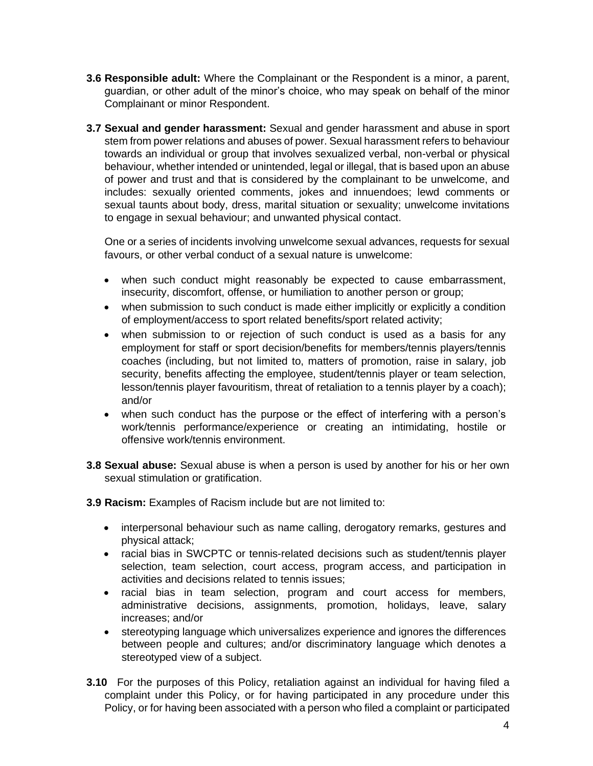- **3.6 Responsible adult:** Where the Complainant or the Respondent is a minor, a parent, guardian, or other adult of the minor's choice, who may speak on behalf of the minor Complainant or minor Respondent.
- **3.7 Sexual and gender harassment:** Sexual and gender harassment and abuse in sport stem from power relations and abuses of power. Sexual harassment refers to behaviour towards an individual or group that involves sexualized verbal, non-verbal or physical behaviour, whether intended or unintended, legal or illegal, that is based upon an abuse of power and trust and that is considered by the complainant to be unwelcome, and includes: sexually oriented comments, jokes and innuendoes; lewd comments or sexual taunts about body, dress, marital situation or sexuality; unwelcome invitations to engage in sexual behaviour; and unwanted physical contact.

One or a series of incidents involving unwelcome sexual advances, requests for sexual favours, or other verbal conduct of a sexual nature is unwelcome:

- when such conduct might reasonably be expected to cause embarrassment, insecurity, discomfort, offense, or humiliation to another person or group;
- when submission to such conduct is made either implicitly or explicitly a condition of employment/access to sport related benefits/sport related activity;
- when submission to or rejection of such conduct is used as a basis for any employment for staff or sport decision/benefits for members/tennis players/tennis coaches (including, but not limited to, matters of promotion, raise in salary, job security, benefits affecting the employee, student/tennis player or team selection, lesson/tennis player favouritism, threat of retaliation to a tennis player by a coach); and/or
- when such conduct has the purpose or the effect of interfering with a person's work/tennis performance/experience or creating an intimidating, hostile or offensive work/tennis environment.
- **3.8 Sexual abuse:** Sexual abuse is when a person is used by another for his or her own sexual stimulation or gratification.
- **3.9 Racism:** Examples of Racism include but are not limited to:
	- interpersonal behaviour such as name calling, derogatory remarks, gestures and physical attack;
	- racial bias in SWCPTC or tennis-related decisions such as student/tennis player selection, team selection, court access, program access, and participation in activities and decisions related to tennis issues;
	- racial bias in team selection, program and court access for members, administrative decisions, assignments, promotion, holidays, leave, salary increases; and/or
	- stereotyping language which universalizes experience and ignores the differences between people and cultures; and/or discriminatory language which denotes a stereotyped view of a subject.
- **3.10** For the purposes of this Policy, retaliation against an individual for having filed a complaint under this Policy, or for having participated in any procedure under this Policy, or for having been associated with a person who filed a complaint or participated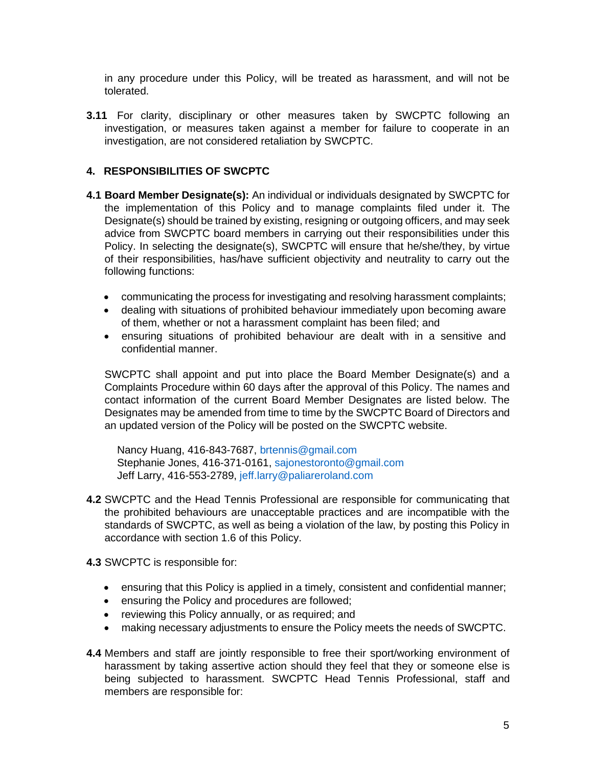in any procedure under this Policy, will be treated as harassment, and will not be tolerated.

**3.11** For clarity, disciplinary or other measures taken by SWCPTC following an investigation, or measures taken against a member for failure to cooperate in an investigation, are not considered retaliation by SWCPTC.

#### **4. RESPONSIBILITIES OF SWCPTC**

- **4.1 Board Member Designate(s):** An individual or individuals designated by SWCPTC for the implementation of this Policy and to manage complaints filed under it. The Designate(s) should be trained by existing, resigning or outgoing officers, and may seek advice from SWCPTC board members in carrying out their responsibilities under this Policy. In selecting the designate(s), SWCPTC will ensure that he/she/they, by virtue of their responsibilities, has/have sufficient objectivity and neutrality to carry out the following functions:
	- communicating the process for investigating and resolving harassment complaints;
	- dealing with situations of prohibited behaviour immediately upon becoming aware of them, whether or not a harassment complaint has been filed; and
	- ensuring situations of prohibited behaviour are dealt with in a sensitive and confidential manner.

SWCPTC shall appoint and put into place the Board Member Designate(s) and a Complaints Procedure within 60 days after the approval of this Policy. The names and contact information of the current Board Member Designates are listed below. The Designates may be amended from time to time by the SWCPTC Board of Directors and an updated version of the Policy will be posted on the SWCPTC website.

Nancy Huang, 416-843-7687, brtennis@gmail.com Stephanie Jones, 416-371-0161, sajonestoronto@gmail.com Jeff Larry, 416-553-2789, jeff.larry@paliareroland.com

- **4.2** SWCPTC and the Head Tennis Professional are responsible for communicating that the prohibited behaviours are unacceptable practices and are incompatible with the standards of SWCPTC, as well as being a violation of the law, by posting this Policy in accordance with section 1.6 of this Policy.
- **4.3** SWCPTC is responsible for:
	- ensuring that this Policy is applied in a timely, consistent and confidential manner;
	- ensuring the Policy and procedures are followed;
	- reviewing this Policy annually, or as required; and
	- making necessary adjustments to ensure the Policy meets the needs of SWCPTC.
- **4.4** Members and staff are jointly responsible to free their sport/working environment of harassment by taking assertive action should they feel that they or someone else is being subjected to harassment. SWCPTC Head Tennis Professional, staff and members are responsible for: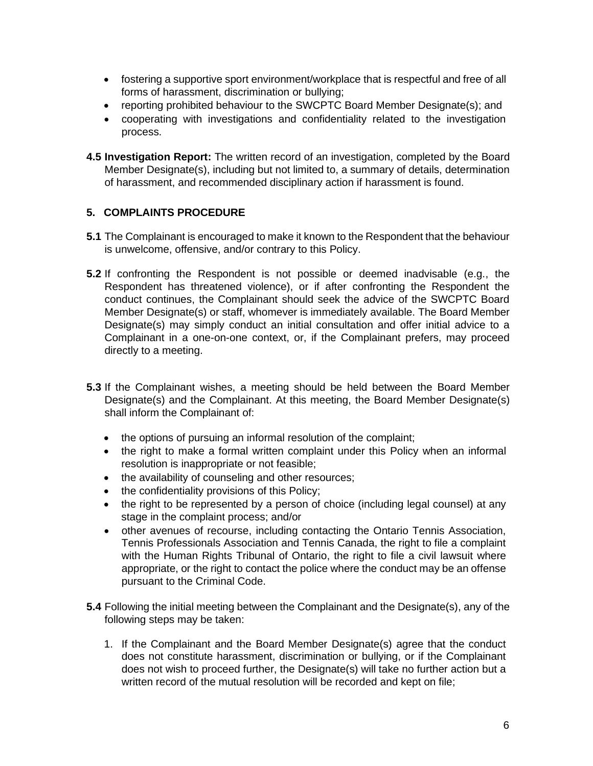- fostering a supportive sport environment/workplace that is respectful and free of all forms of harassment, discrimination or bullying;
- reporting prohibited behaviour to the SWCPTC Board Member Designate(s); and
- cooperating with investigations and confidentiality related to the investigation process.
- **4.5 Investigation Report:** The written record of an investigation, completed by the Board Member Designate(s), including but not limited to, a summary of details, determination of harassment, and recommended disciplinary action if harassment is found.

## **5. COMPLAINTS PROCEDURE**

- **5.1** The Complainant is encouraged to make it known to the Respondent that the behaviour is unwelcome, offensive, and/or contrary to this Policy.
- **5.2** If confronting the Respondent is not possible or deemed inadvisable (e.g., the Respondent has threatened violence), or if after confronting the Respondent the conduct continues, the Complainant should seek the advice of the SWCPTC Board Member Designate(s) or staff, whomever is immediately available. The Board Member Designate(s) may simply conduct an initial consultation and offer initial advice to a Complainant in a one-on-one context, or, if the Complainant prefers, may proceed directly to a meeting.
- **5.3** If the Complainant wishes, a meeting should be held between the Board Member Designate(s) and the Complainant. At this meeting, the Board Member Designate(s) shall inform the Complainant of:
	- the options of pursuing an informal resolution of the complaint;
	- the right to make a formal written complaint under this Policy when an informal resolution is inappropriate or not feasible;
	- the availability of counseling and other resources;
	- the confidentiality provisions of this Policy;
	- the right to be represented by a person of choice (including legal counsel) at any stage in the complaint process; and/or
	- other avenues of recourse, including contacting the Ontario Tennis Association, Tennis Professionals Association and Tennis Canada, the right to file a complaint with the Human Rights Tribunal of Ontario, the right to file a civil lawsuit where appropriate, or the right to contact the police where the conduct may be an offense pursuant to the Criminal Code.
- **5.4** Following the initial meeting between the Complainant and the Designate(s), any of the following steps may be taken:
	- 1. If the Complainant and the Board Member Designate(s) agree that the conduct does not constitute harassment, discrimination or bullying, or if the Complainant does not wish to proceed further, the Designate(s) will take no further action but a written record of the mutual resolution will be recorded and kept on file;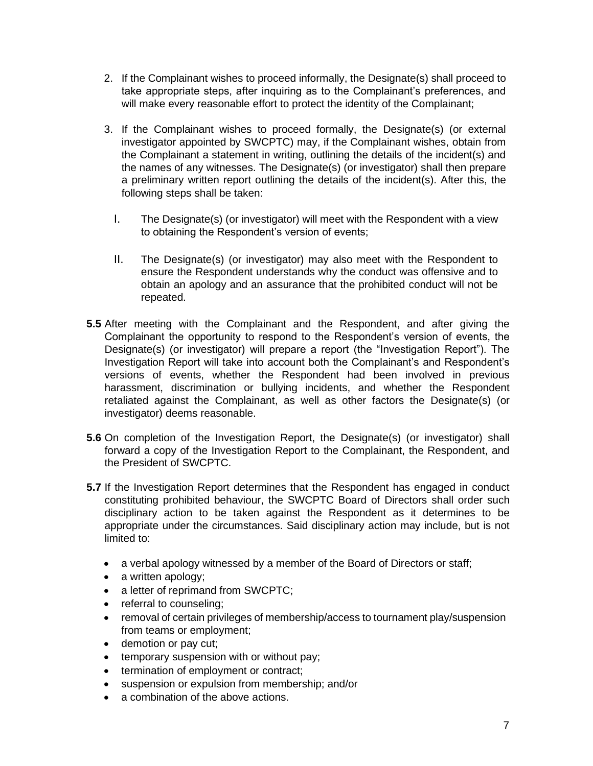- 2. If the Complainant wishes to proceed informally, the Designate(s) shall proceed to take appropriate steps, after inquiring as to the Complainant's preferences, and will make every reasonable effort to protect the identity of the Complainant;
- 3. If the Complainant wishes to proceed formally, the Designate(s) (or external investigator appointed by SWCPTC) may, if the Complainant wishes, obtain from the Complainant a statement in writing, outlining the details of the incident(s) and the names of any witnesses. The Designate(s) (or investigator) shall then prepare a preliminary written report outlining the details of the incident(s). After this, the following steps shall be taken:
	- I. The Designate(s) (or investigator) will meet with the Respondent with a view to obtaining the Respondent's version of events;
	- II. The Designate(s) (or investigator) may also meet with the Respondent to ensure the Respondent understands why the conduct was offensive and to obtain an apology and an assurance that the prohibited conduct will not be repeated.
- **5.5** After meeting with the Complainant and the Respondent, and after giving the Complainant the opportunity to respond to the Respondent's version of events, the Designate(s) (or investigator) will prepare a report (the "Investigation Report"). The Investigation Report will take into account both the Complainant's and Respondent's versions of events, whether the Respondent had been involved in previous harassment, discrimination or bullying incidents, and whether the Respondent retaliated against the Complainant, as well as other factors the Designate(s) (or investigator) deems reasonable.
- **5.6** On completion of the Investigation Report, the Designate(s) (or investigator) shall forward a copy of the Investigation Report to the Complainant, the Respondent, and the President of SWCPTC.
- **5.7** If the Investigation Report determines that the Respondent has engaged in conduct constituting prohibited behaviour, the SWCPTC Board of Directors shall order such disciplinary action to be taken against the Respondent as it determines to be appropriate under the circumstances. Said disciplinary action may include, but is not limited to:
	- a verbal apology witnessed by a member of the Board of Directors or staff;
	- a written apology;
	- a letter of reprimand from SWCPTC;
	- referral to counseling;
	- removal of certain privileges of membership/access to tournament play/suspension from teams or employment;
	- demotion or pay cut;
	- temporary suspension with or without pay;
	- termination of employment or contract;
	- suspension or expulsion from membership; and/or
	- a combination of the above actions.